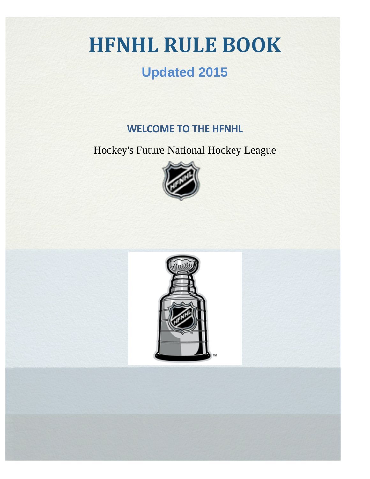# **HFNHL RULE BOOK**

## **Updated 2015**

### **WELCOME TO THE HFNHL**

Hockey's Future National Hockey League



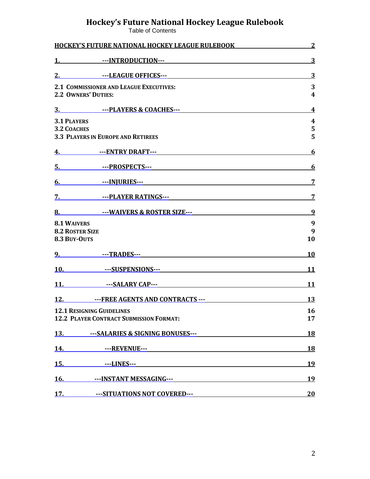#### **Hockey's Future National Hockey League Rulebook**

Table of Contents

| <b>HOCKEY'S FUTURE NATIONAL HOCKEY LEAGUE RULEBOOK</b>                                                                                                                                                                         | $\overline{2}$               |
|--------------------------------------------------------------------------------------------------------------------------------------------------------------------------------------------------------------------------------|------------------------------|
|                                                                                                                                                                                                                                | $\overline{3}$               |
| 2. Sandborner School Control Control Control Control Control Control Control Control Control Control Control Control Control Control Control Control Control Control Control Control Control Control Control Control Control C | $\overline{3}$               |
| <b>2.1 COMMISSIONER AND LEAGUE EXECUTIVES:</b><br><b>2.2 OWNERS' DUTIES:</b>                                                                                                                                                   | 3<br>$\overline{\mathbf{4}}$ |
|                                                                                                                                                                                                                                | $\overline{4}$               |
| <b>3.1 PLAYERS</b>                                                                                                                                                                                                             | $\boldsymbol{4}$             |
| <b>3.2 COACHES</b><br><b>3.3 PLAYERS IN EUROPE AND RETIREES</b>                                                                                                                                                                | 5<br>5                       |
|                                                                                                                                                                                                                                | 6                            |
|                                                                                                                                                                                                                                | <u>6</u>                     |
|                                                                                                                                                                                                                                | $\overline{7}$               |
| 7. Samuel The Manual School and The Manual School and The Manual School and The Manual School and The Manual School and The Manual School and The Manual School and The Manual School and The Manual School and The Manual Sch | $\overline{z}$               |
| 8. The MAIVERS & ROSTER SIZE---                                                                                                                                                                                                | 9                            |
| <b>8.1 WAIVERS</b>                                                                                                                                                                                                             | 9                            |
| <b>8.2 ROSTER SIZE</b><br>8.3 BUY-OUTS                                                                                                                                                                                         | 9<br>10                      |
|                                                                                                                                                                                                                                | <b>10</b>                    |
| <u>10. ---SUSPENSIONS---</u><br>---SUSPENSIONS---                                                                                                                                                                              | 11                           |
| 11. SALARY CAP---                                                                                                                                                                                                              | <b>11</b>                    |
| 12. September 18. September 19. September 19. September 19. September 19. September 19. September 19. September 19. September 19. September 19. September 19. September 19. September 19. September 19. September 19. Septembe | <b>13</b>                    |
| <b>12.1 RESIGNING GUIDELINES</b><br><b>12.2 PLAYER CONTRACT SUBMISSION FORMAT:</b>                                                                                                                                             | <b>16</b><br>17              |
| 13. ----SALARIES & SIGNING BONUSES---                                                                                                                                                                                          | <u>18</u>                    |
| <b>14.</b> ---REVENUE---                                                                                                                                                                                                       | <b>18</b>                    |
|                                                                                                                                                                                                                                | <b>19</b>                    |
| 16. Samuel The STANT MESSAGING---                                                                                                                                                                                              | <u>19</u>                    |
| 17. • ••• SITUATIONS NOT COVERED--- 20                                                                                                                                                                                         |                              |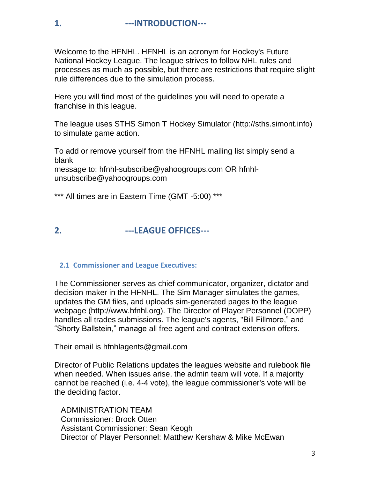Welcome to the HFNHL. HFNHL is an acronym for Hockey's Future National Hockey League. The league strives to follow NHL rules and processes as much as possible, but there are restrictions that require slight rule differences due to the simulation process.

Here you will find most of the guidelines you will need to operate a franchise in this league.

The league uses STHS Simon T Hockey Simulator (http://sths.simont.info) to simulate game action.

To add or remove yourself from the HFNHL mailing list simply send a blank message to: hfnhl-subscribe@yahoogroups.com OR hfnhl-

unsubscribe@yahoogroups.com

\*\*\* All times are in Eastern Time (GMT -5:00) \*\*\*

#### **2. ---LEAGUE OFFICES---**

#### **2.1 Commissioner and League Executives:**

The Commissioner serves as chief communicator, organizer, dictator and decision maker in the HFNHL. The Sim Manager simulates the games, updates the GM files, and uploads sim-generated pages to the league webpage (http://www.hfnhl.org). The Director of Player Personnel (DOPP) handles all trades submissions. The league's agents, "Bill Fillmore," and "Shorty Ballstein," manage all free agent and contract extension offers.

Their email is hfnhlagents@gmail.com

Director of Public Relations updates the leagues website and rulebook file when needed. When issues arise, the admin team will vote. If a majority cannot be reached (i.e. 4-4 vote), the league commissioner's vote will be the deciding factor.

 ADMINISTRATION TEAM Commissioner: Brock Otten Assistant Commissioner: Sean Keogh Director of Player Personnel: Matthew Kershaw & Mike McEwan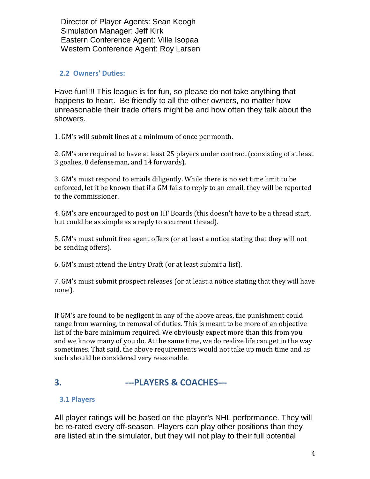Director of Player Agents: Sean Keogh Simulation Manager: Jeff Kirk Eastern Conference Agent: Ville Isopaa Western Conference Agent: Roy Larsen

#### **2.2 Owners' Duties:**

Have fun!!!! This league is for fun, so please do not take anything that happens to heart. Be friendly to all the other owners, no matter how unreasonable their trade offers might be and how often they talk about the showers.

1. GM's will submit lines at a minimum of once per month.

2. GM's are required to have at least 25 players under contract (consisting of at least 3 goalies, 8 defenseman, and 14 forwards).

3. GM's must respond to emails diligently. While there is no set time limit to be enforced, let it be known that if a GM fails to reply to an email, they will be reported to the commissioner.

4. GM's are encouraged to post on HF Boards (this doesn't have to be a thread start, but could be as simple as a reply to a current thread).

5. GM's must submit free agent offers (or at least a notice stating that they will not be sending offers).

6. GM's must attend the Entry Draft (or at least submit a list).

7. GM's must submit prospect releases (or at least a notice stating that they will have none).

If GM's are found to be negligent in any of the above areas, the punishment could range from warning, to removal of duties. This is meant to be more of an objective list of the bare minimum required. We obviously expect more than this from you and we know many of you do. At the same time, we do realize life can get in the way sometimes. That said, the above requirements would not take up much time and as such should be considered very reasonable.

#### **3. ---PLAYERS & COACHES---**

#### **3.1 Players**

All player ratings will be based on the player's NHL performance. They will be re-rated every off-season. Players can play other positions than they are listed at in the simulator, but they will not play to their full potential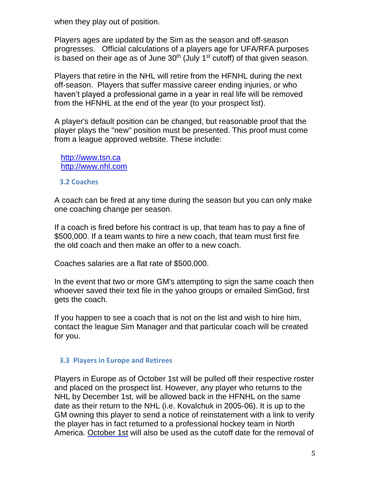when they play out of position.

Players ages are updated by the Sim as the season and off-season progresses. Official calculations of a players age for UFA/RFA purposes is based on their age as of June  $30<sup>th</sup>$  (July 1<sup>st</sup> cutoff) of that given season.

Players that retire in the NHL will retire from the HFNHL during the next off-season. Players that suffer massive career ending injuries, or who haven't played a professional game in a year in real life will be removed from the HFNHL at the end of the year (to your prospect list).

A player's default position can be changed, but reasonable proof that the player plays the "new" position must be presented. This proof must come from a league approved website. These include:

 [http://www.tsn.ca](http://www.tsn.ca/) [http://www.nhl.com](http://www.nhl.com/)

#### **3.2 Coaches**

A coach can be fired at any time during the season but you can only make one coaching change per season.

If a coach is fired before his contract is up, that team has to pay a fine of \$500,000. If a team wants to hire a new coach, that team must first fire the old coach and then make an offer to a new coach.

Coaches salaries are a flat rate of \$500,000.

In the event that two or more GM's attempting to sign the same coach then whoever saved their text file in the yahoo groups or emailed SimGod, first gets the coach.

If you happen to see a coach that is not on the list and wish to hire him, contact the league Sim Manager and that particular coach will be created for you.

#### **3.3 Players in Europe and Retirees**

Players in Europe as of October 1st will be pulled off their respective roster and placed on the prospect list. However, any player who returns to the NHL by December 1st, will be allowed back in the HFNHL on the same date as their return to the NHL (i.e. Kovalchuk in 2005-06). It is up to the GM owning this player to send a notice of reinstatement with a link to verify the player has in fact returned to a professional hockey team in North America. October 1st will also be used as the cutoff date for the removal of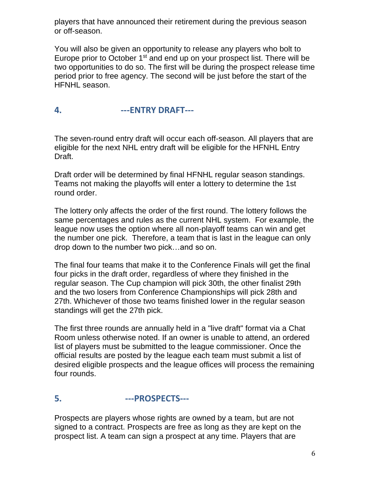players that have announced their retirement during the previous season or off-season.

You will also be given an opportunity to release any players who bolt to Europe prior to October 1<sup>st</sup> and end up on your prospect list. There will be two opportunities to do so. The first will be during the prospect release time period prior to free agency. The second will be just before the start of the HFNHL season.

#### **4. ---ENTRY DRAFT---**

The seven-round entry draft will occur each off-season. All players that are eligible for the next NHL entry draft will be eligible for the HFNHL Entry Draft.

Draft order will be determined by final HFNHL regular season standings. Teams not making the playoffs will enter a lottery to determine the 1st round order.

The lottery only affects the order of the first round. The lottery follows the same percentages and rules as the current NHL system. For example, the league now uses the option where all non-playoff teams can win and get the number one pick. Therefore, a team that is last in the league can only drop down to the number two pick…and so on.

The final four teams that make it to the Conference Finals will get the final four picks in the draft order, regardless of where they finished in the regular season. The Cup champion will pick 30th, the other finalist 29th and the two losers from Conference Championships will pick 28th and 27th. Whichever of those two teams finished lower in the regular season standings will get the 27th pick.

The first three rounds are annually held in a "live draft" format via a Chat Room unless otherwise noted. If an owner is unable to attend, an ordered list of players must be submitted to the league commissioner. Once the official results are posted by the league each team must submit a list of desired eligible prospects and the league offices will process the remaining four rounds.

#### **5. ---PROSPECTS---**

Prospects are players whose rights are owned by a team, but are not signed to a contract. Prospects are free as long as they are kept on the prospect list. A team can sign a prospect at any time. Players that are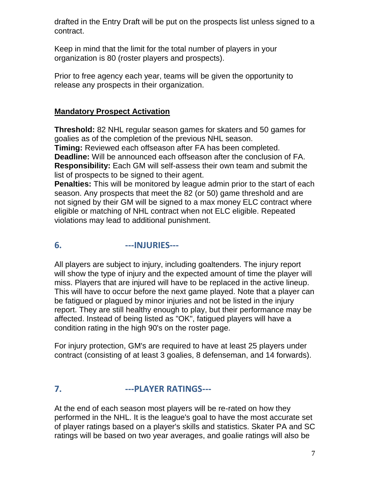drafted in the Entry Draft will be put on the prospects list unless signed to a contract.

Keep in mind that the limit for the total number of players in your organization is 80 (roster players and prospects).

Prior to free agency each year, teams will be given the opportunity to release any prospects in their organization.

#### **Mandatory Prospect Activation**

**Threshold:** 82 NHL regular season games for skaters and 50 games for goalies as of the completion of the previous NHL season.

**Timing:** Reviewed each offseason after FA has been completed. **Deadline:** Will be announced each offseason after the conclusion of FA. **Responsibility:** Each GM will self-assess their own team and submit the list of prospects to be signed to their agent.

**Penalties:** This will be monitored by league admin prior to the start of each season. Any prospects that meet the 82 (or 50) game threshold and are not signed by their GM will be signed to a max money ELC contract where eligible or matching of NHL contract when not ELC eligible. Repeated violations may lead to additional punishment.

#### **6. ---INJURIES---**

All players are subject to injury, including goaltenders. The injury report will show the type of injury and the expected amount of time the player will miss. Players that are injured will have to be replaced in the active lineup. This will have to occur before the next game played. Note that a player can be fatigued or plagued by minor injuries and not be listed in the injury report. They are still healthy enough to play, but their performance may be affected. Instead of being listed as "OK", fatigued players will have a condition rating in the high 90's on the roster page.

For injury protection, GM's are required to have at least 25 players under contract (consisting of at least 3 goalies, 8 defenseman, and 14 forwards).

#### **7. ---PLAYER RATINGS---**

At the end of each season most players will be re-rated on how they performed in the NHL. It is the league's goal to have the most accurate set of player ratings based on a player's skills and statistics. Skater PA and SC ratings will be based on two year averages, and goalie ratings will also be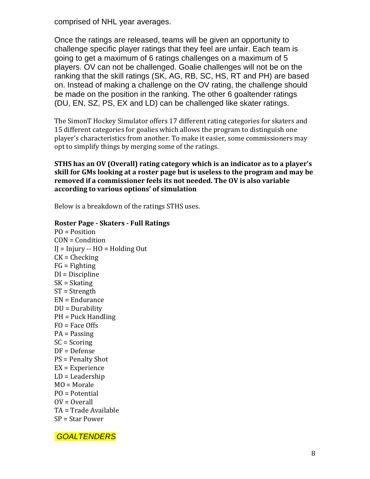comprised of NHL year averages.

Once the ratings are released, teams will be given an opportunity to challenge specific player ratings that they feel are unfair. Each team is going to get a maximum of 6 ratings challenges on a maximum of 5 players. OV can not be challenged. Goalie challenges will not be on the ranking that the skill ratings (SK, AG, RB, SC, HS, RT and PH) are based on. Instead of making a challenge on the OV rating, the challenge should be made on the position in the ranking. The other 6 goaltender ratings (DU, EN, SZ, PS, EX and LD) can be challenged like skater ratings.

The SimonT Hockey Simulator offers 17 different rating categories for skaters and 15 different categories for goalies which allows the program to distinguish one player's characteristics from another. To make it easier, some commissioners may opt to simplify things by merging some of the ratings.

#### **STHS has an OV (Overall) rating category which is an indicator as to a player's skill for GMs looking at a roster page but is useless to the program and may be removed if a commissioner feels its not needed. The OV is also variable according to various options' of simulation**

Below is a breakdown of the ratings STHS uses.

#### **Roster Page - Skaters - Full Ratings**

PO = Position CON = Condition  $I = Injury - HO = Holding Out$  $CK =$ Checking  $FG =$  Fighting DI = Discipline SK = Skating ST = Strength EN = Endurance DU = Durability PH = Puck Handling FO = Face Offs PA = Passing SC = Scoring DF = Defense PS = Penalty Shot EX = Experience LD = Leadership MO = Morale PO = Potential  $OV = Overall$ TA = Trade Available SP = Star Power

*GOALTENDERS*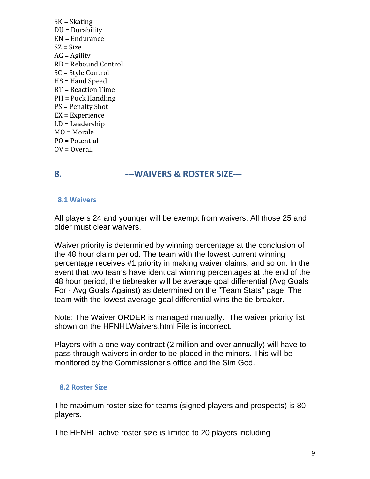SK = Skating DU = Durability EN = Endurance  $SZ = Size$  $AG =$  Agility RB = Rebound Control SC = Style Control HS = Hand Speed RT = Reaction Time PH = Puck Handling PS = Penalty Shot EX = Experience LD = Leadership MO = Morale PO = Potential  $OV = Overall$ 

#### **8. ---WAIVERS & ROSTER SIZE---**

#### **8.1 Waivers**

All players 24 and younger will be exempt from waivers. All those 25 and older must clear waivers.

Waiver priority is determined by winning percentage at the conclusion of the 48 hour claim period. The team with the lowest current winning percentage receives #1 priority in making waiver claims, and so on. In the event that two teams have identical winning percentages at the end of the 48 hour period, the tiebreaker will be average goal differential (Avg Goals For - Avg Goals Against) as determined on the "Team Stats" page. The team with the lowest average goal differential wins the tie-breaker.

Note: The Waiver ORDER is managed manually. The waiver priority list shown on the HFNHLWaivers.html File is incorrect.

Players with a one way contract (2 million and over annually) will have to pass through waivers in order to be placed in the minors. This will be monitored by the Commissioner's office and the Sim God.

#### **8.2 Roster Size**

The maximum roster size for teams (signed players and prospects) is 80 players.

The HFNHL active roster size is limited to 20 players including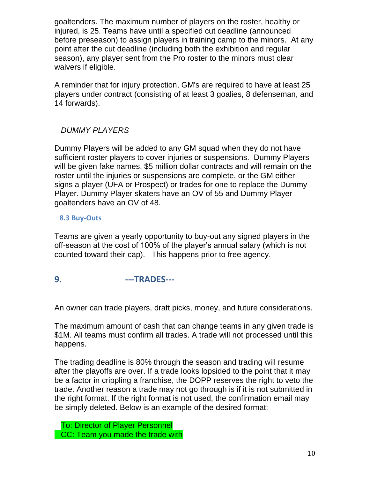goaltenders. The maximum number of players on the roster, healthy or injured, is 25. Teams have until a specified cut deadline (announced before preseason) to assign players in training camp to the minors. At any point after the cut deadline (including both the exhibition and regular season), any player sent from the Pro roster to the minors must clear waivers if eligible.

A reminder that for injury protection, GM's are required to have at least 25 players under contract (consisting of at least 3 goalies, 8 defenseman, and 14 forwards).

#### *DUMMY PLAYERS*

Dummy Players will be added to any GM squad when they do not have sufficient roster players to cover injuries or suspensions. Dummy Players will be given fake names, \$5 million dollar contracts and will remain on the roster until the injuries or suspensions are complete, or the GM either signs a player (UFA or Prospect) or trades for one to replace the Dummy Player. Dummy Player skaters have an OV of 55 and Dummy Player goaltenders have an OV of 48.

#### **8.3 Buy-Outs**

Teams are given a yearly opportunity to buy-out any signed players in the off-season at the cost of 100% of the player's annual salary (which is not counted toward their cap). This happens prior to free agency.

#### **9. ---TRADES---**

An owner can trade players, draft picks, money, and future considerations.

The maximum amount of cash that can change teams in any given trade is \$1M. All teams must confirm all trades. A trade will not processed until this happens.

The trading deadline is 80% through the season and trading will resume after the playoffs are over. If a trade looks lopsided to the point that it may be a factor in crippling a franchise, the DOPP reserves the right to veto the trade. Another reason a trade may not go through is if it is not submitted in the right format. If the right format is not used, the confirmation email may be simply deleted. Below is an example of the desired format:

To: Director of Player Personnel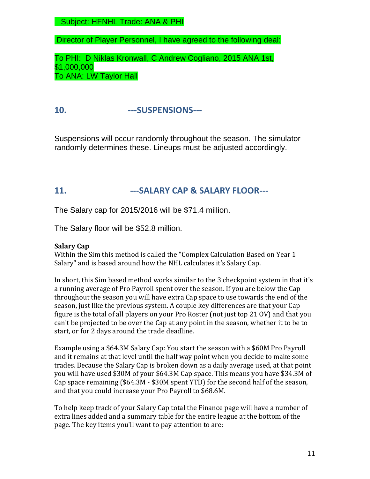Subject: HFNHL Trade: ANA & PHI

Director of Player Personnel, I have agreed to the following deal:

To PHI: D Niklas Kronwall, C Andrew Cogliano, 2015 ANA 1st, \$1,000,000 To ANA: LW Taylor Hall

#### **10. ---SUSPENSIONS---**

Suspensions will occur randomly throughout the season. The simulator randomly determines these. Lineups must be adjusted accordingly.

#### **11. ---SALARY CAP & SALARY FLOOR---**

The Salary cap for 2015/2016 will be \$71.4 million.

The Salary floor will be \$52.8 million.

#### **Salary Cap**

Within the Sim this method is called the "Complex Calculation Based on Year 1 Salary" and is based around how the NHL calculates it's Salary Cap.

In short, this Sim based method works similar to the 3 checkpoint system in that it's a running average of Pro Payroll spent over the season. If you are below the Cap throughout the season you will have extra Cap space to use towards the end of the season, just like the previous system. A couple key differences are that your Cap figure is the total of all players on your Pro Roster (not just top 21 OV) and that you can't be projected to be over the Cap at any point in the season, whether it to be to start, or for 2 days around the trade deadline.

Example using a \$64.3M Salary Cap: You start the season with a \$60M Pro Payroll and it remains at that level until the half way point when you decide to make some trades. Because the Salary Cap is broken down as a daily average used, at that point you will have used \$30M of your \$64.3M Cap space. This means you have \$34.3M of Cap space remaining (\$64.3M - \$30M spent YTD) for the second half of the season, and that you could increase your Pro Payroll to \$68.6M.

To help keep track of your Salary Cap total the Finance page will have a number of extra lines added and a summary table for the entire league at the bottom of the page. The key items you'll want to pay attention to are: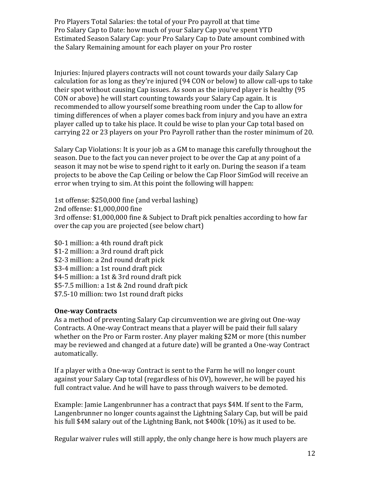Pro Players Total Salaries: the total of your Pro payroll at that time Pro Salary Cap to Date: how much of your Salary Cap you've spent YTD Estimated Season Salary Cap: your Pro Salary Cap to Date amount combined with the Salary Remaining amount for each player on your Pro roster

Injuries: Injured players contracts will not count towards your daily Salary Cap calculation for as long as they're injured (94 CON or below) to allow call-ups to take their spot without causing Cap issues. As soon as the injured player is healthy (95 CON or above) he will start counting towards your Salary Cap again. It is recommended to allow yourself some breathing room under the Cap to allow for timing differences of when a player comes back from injury and you have an extra player called up to take his place. It could be wise to plan your Cap total based on carrying 22 or 23 players on your Pro Payroll rather than the roster minimum of 20.

Salary Cap Violations: It is your job as a GM to manage this carefully throughout the season. Due to the fact you can never project to be over the Cap at any point of a season it may not be wise to spend right to it early on. During the season if a team projects to be above the Cap Ceiling or below the Cap Floor SimGod will receive an error when trying to sim. At this point the following will happen:

1st offense: \$250,000 fine (and verbal lashing) 2nd offense: \$1,000,000 fine 3rd offense: \$1,000,000 fine & Subject to Draft pick penalties according to how far over the cap you are projected (see below chart)

\$0-1 million: a 4th round draft pick \$1-2 million: a 3rd round draft pick \$2-3 million: a 2nd round draft pick \$3-4 million: a 1st round draft pick \$4-5 million: a 1st & 3rd round draft pick \$5-7.5 million: a 1st & 2nd round draft pick \$7.5-10 million: two 1st round draft picks

#### **One-way Contracts**

As a method of preventing Salary Cap circumvention we are giving out One-way Contracts. A One-way Contract means that a player will be paid their full salary whether on the Pro or Farm roster. Any player making \$2M or more (this number may be reviewed and changed at a future date) will be granted a One-way Contract automatically.

If a player with a One-way Contract is sent to the Farm he will no longer count against your Salary Cap total (regardless of his OV), however, he will be payed his full contract value. And he will have to pass through waivers to be demoted.

Example: Jamie Langenbrunner has a contract that pays \$4M. If sent to the Farm, Langenbrunner no longer counts against the Lightning Salary Cap, but will be paid his full \$4M salary out of the Lightning Bank, not \$400k (10%) as it used to be.

Regular waiver rules will still apply, the only change here is how much players are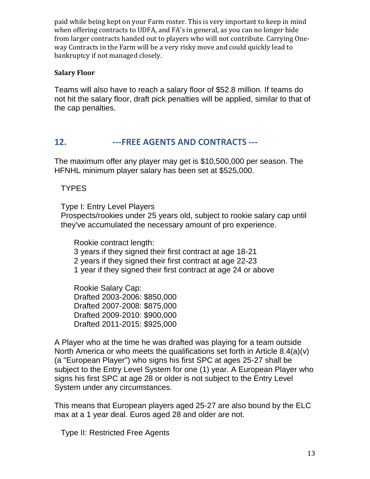paid while being kept on your Farm roster. This is very important to keep in mind when offering contracts to UDFA, and FA's in general, as you can no longer hide from larger contracts handed out to players who will not contribute. Carrying Oneway Contracts in the Farm will be a very risky move and could quickly lead to bankruptcy if not managed closely.

#### **Salary Floor**

Teams will also have to reach a salary floor of \$52.8 million. If teams do not hit the salary floor, draft pick penalties will be applied, similar to that of the cap penalties.

#### **12. ---FREE AGENTS AND CONTRACTS ---**

The maximum offer any player may get is \$10,500,000 per season. The HFNHL minimum player salary has been set at \$525,000.

#### TYPES

 Type I: Entry Level Players Prospects/rookies under 25 years old, subject to rookie salary cap until they've accumulated the necessary amount of pro experience.

 Rookie contract length: 3 years if they signed their first contract at age 18-21 2 years if they signed their first contract at age 22-23 1 year if they signed their first contract at age 24 or above

 Rookie Salary Cap: Drafted 2003-2006: \$850,000 Drafted 2007-2008: \$875,000 Drafted 2009-2010: \$900,000 Drafted 2011-2015: \$925,000

A Player who at the time he was drafted was playing for a team outside North America or who meets the qualifications set forth in Article 8.4(a)(v) (a "European Player") who signs his first SPC at ages 25-27 shall be subject to the Entry Level System for one (1) year. A European Player who signs his first SPC at age 28 or older is not subject to the Entry Level System under any circumstances.

This means that European players aged 25-27 are also bound by the ELC max at a 1 year deal. Euros aged 28 and older are not.

Type II: Restricted Free Agents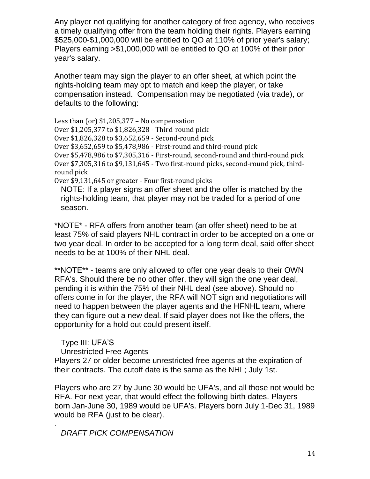Any player not qualifying for another category of free agency, who receives a timely qualifying offer from the team holding their rights. Players earning \$525,000-\$1,000,000 will be entitled to QO at 110% of prior year's salary; Players earning >\$1,000,000 will be entitled to QO at 100% of their prior year's salary.

Another team may sign the player to an offer sheet, at which point the rights-holding team may opt to match and keep the player, or take compensation instead. Compensation may be negotiated (via trade), or defaults to the following:

Less than (or) \$1,205,377 – No compensation Over \$1,205,377 to \$1,826,328 - Third-round pick Over \$1,826,328 to \$3,652,659 - Second-round pick Over \$3,652,659 to \$5,478,986 - First-round and third-round pick Over \$5,478,986 to \$7,305,316 - First-round, second-round and third-round pick Over \$7,305,316 to \$9,131,645 - Two first-round picks, second-round pick, thirdround pick

Over \$9,131,645 or greater - Four first-round picks

 NOTE: If a player signs an offer sheet and the offer is matched by the rights-holding team, that player may not be traded for a period of one season.

\*NOTE\* - RFA offers from another team (an offer sheet) need to be at least 75% of said players NHL contract in order to be accepted on a one or two year deal. In order to be accepted for a long term deal, said offer sheet needs to be at 100% of their NHL deal.

\*\*NOTE\*\* - teams are only allowed to offer one year deals to their OWN RFA's. Should there be no other offer, they will sign the one year deal, pending it is within the 75% of their NHL deal (see above). Should no offers come in for the player, the RFA will NOT sign and negotiations will need to happen between the player agents and the HFNHL team, where they can figure out a new deal. If said player does not like the offers, the opportunity for a hold out could present itself.

 Type III: UFA'S Unrestricted Free Agents Players 27 or older become unrestricted free agents at the expiration of their contracts. The cutoff date is the same as the NHL; July 1st.

Players who are 27 by June 30 would be UFA's, and all those not would be RFA. For next year, that would effect the following birth dates. Players born Jan-June 30, 1989 would be UFA's. Players born July 1-Dec 31, 1989 would be RFA (just to be clear).

 *DRAFT PICK COMPENSATION*

.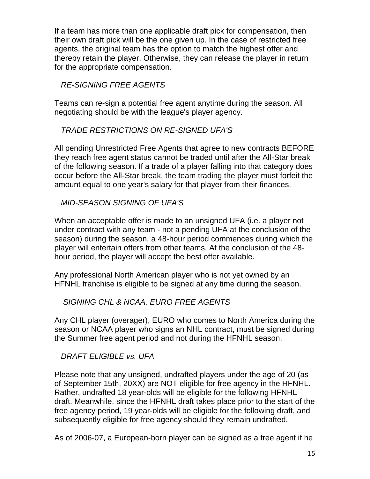If a team has more than one applicable draft pick for compensation, then their own draft pick will be the one given up. In the case of restricted free agents, the original team has the option to match the highest offer and thereby retain the player. Otherwise, they can release the player in return for the appropriate compensation.

*RE-SIGNING FREE AGENTS*

Teams can re-sign a potential free agent anytime during the season. All negotiating should be with the league's player agency.

 *TRADE RESTRICTIONS ON RE-SIGNED UFA'S*

All pending Unrestricted Free Agents that agree to new contracts BEFORE they reach free agent status cannot be traded until after the All-Star break of the following season. If a trade of a player falling into that category does occur before the All-Star break, the team trading the player must forfeit the amount equal to one year's salary for that player from their finances.

*MID-SEASON SIGNING OF UFA'S*

When an acceptable offer is made to an unsigned UFA (i.e. a player not under contract with any team - not a pending UFA at the conclusion of the season) during the season, a 48-hour period commences during which the player will entertain offers from other teams. At the conclusion of the 48 hour period, the player will accept the best offer available.

Any professional North American player who is not yet owned by an HFNHL franchise is eligible to be signed at any time during the season.

#### *SIGNING CHL & NCAA, EURO FREE AGENTS*

Any CHL player (overager), EURO who comes to North America during the season or NCAA player who signs an NHL contract, must be signed during the Summer free agent period and not during the HFNHL season.

*DRAFT ELIGIBLE vs. UFA*

Please note that any unsigned, undrafted players under the age of 20 (as of September 15th, 20XX) are NOT eligible for free agency in the HFNHL. Rather, undrafted 18 year-olds will be eligible for the following HFNHL draft. Meanwhile, since the HFNHL draft takes place prior to the start of the free agency period, 19 year-olds will be eligible for the following draft, and subsequently eligible for free agency should they remain undrafted.

As of 2006-07, a European-born player can be signed as a free agent if he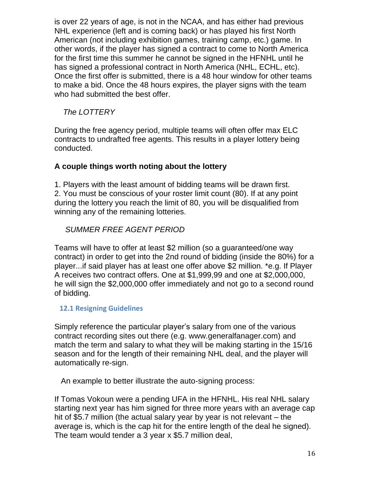is over 22 years of age, is not in the NCAA, and has either had previous NHL experience (left and is coming back) or has played his first North American (not including exhibition games, training camp, etc.) game. In other words, if the player has signed a contract to come to North America for the first time this summer he cannot be signed in the HFNHL until he has signed a professional contract in North America (NHL, ECHL, etc). Once the first offer is submitted, there is a 48 hour window for other teams to make a bid. Once the 48 hours expires, the player signs with the team who had submitted the best offer.

#### *The LOTTERY*

During the free agency period, multiple teams will often offer max ELC contracts to undrafted free agents. This results in a player lottery being conducted.

#### **A couple things worth noting about the lottery**

1. Players with the least amount of bidding teams will be drawn first. 2. You must be conscious of your roster limit count (80). If at any point during the lottery you reach the limit of 80, you will be disqualified from winning any of the remaining lotteries.

#### *SUMMER FREE AGENT PERIOD*

Teams will have to offer at least \$2 million (so a guaranteed/one way contract) in order to get into the 2nd round of bidding (inside the 80%) for a player...if said player has at least one offer above \$2 million. \*e.g. If Player A receives two contract offers. One at \$1,999,99 and one at \$2,000,000, he will sign the \$2,000,000 offer immediately and not go to a second round of bidding.

#### **12.1 Resigning Guidelines**

Simply reference the particular player's salary from one of the various contract recording sites out there (e.g. www.generalfanager.com) and match the term and salary to what they will be making starting in the 15/16 season and for the length of their remaining NHL deal, and the player will automatically re-sign.

An example to better illustrate the auto-signing process:

If Tomas Vokoun were a pending UFA in the HFNHL. His real NHL salary starting next year has him signed for three more years with an average cap hit of \$5.7 million (the actual salary year by year is not relevant – the average is, which is the cap hit for the entire length of the deal he signed). The team would tender a 3 year x \$5.7 million deal,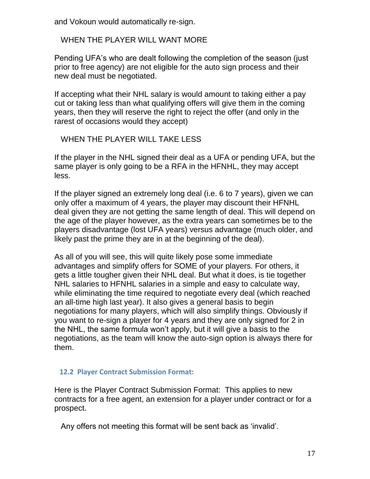and Vokoun would automatically re-sign.

#### WHEN THE PLAYER WILL WANT MORE

Pending UFA's who are dealt following the completion of the season (just prior to free agency) are not eligible for the auto sign process and their new deal must be negotiated.

If accepting what their NHL salary is would amount to taking either a pay cut or taking less than what qualifying offers will give them in the coming years, then they will reserve the right to reject the offer (and only in the rarest of occasions would they accept)

#### WHEN THE PLAYER WILL TAKE LESS

If the player in the NHL signed their deal as a UFA or pending UFA, but the same player is only going to be a RFA in the HFNHL, they may accept less.

If the player signed an extremely long deal (i.e. 6 to 7 years), given we can only offer a maximum of 4 years, the player may discount their HFNHL deal given they are not getting the same length of deal. This will depend on the age of the player however, as the extra years can sometimes be to the players disadvantage (lost UFA years) versus advantage (much older, and likely past the prime they are in at the beginning of the deal).

As all of you will see, this will quite likely pose some immediate advantages and simplify offers for SOME of your players. For others, it gets a little tougher given their NHL deal. But what it does, is tie together NHL salaries to HFNHL salaries in a simple and easy to calculate way, while eliminating the time required to negotiate every deal (which reached an all-time high last year). It also gives a general basis to begin negotiations for many players, which will also simplify things. Obviously if you want to re-sign a player for 4 years and they are only signed for 2 in the NHL, the same formula won't apply, but it will give a basis to the negotiations, as the team will know the auto-sign option is always there for them.

#### **12.2 Player Contract Submission Format:**

Here is the Player Contract Submission Format: This applies to new contracts for a free agent, an extension for a player under contract or for a prospect.

Any offers not meeting this format will be sent back as 'invalid'.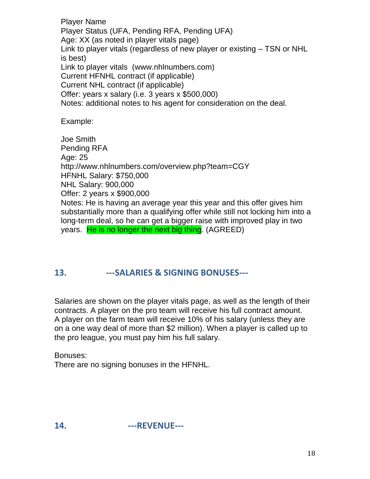Player Name Player Status (UFA, Pending RFA, Pending UFA) Age: XX (as noted in player vitals page) Link to player vitals (regardless of new player or existing – TSN or NHL is best) Link to player vitals (www.nhlnumbers.com) Current HFNHL contract (if applicable) Current NHL contract (if applicable) Offer: years x salary (i.e. 3 years x \$500,000) Notes: additional notes to his agent for consideration on the deal.

Example:

Joe Smith Pending RFA Age: 25 http://www.nhlnumbers.com/overview.php?team=CGY HFNHL Salary: \$750,000 NHL Salary: 900,000 Offer: 2 years x \$900,000 Notes: He is having an average year this year and this offer gives him substantially more than a qualifying offer while still not locking him into a long-term deal, so he can get a bigger raise with improved play in two years. He is no longer the next big thing. (AGREED)

#### **13. ---SALARIES & SIGNING BONUSES---**

Salaries are shown on the player vitals page, as well as the length of their contracts. A player on the pro team will receive his full contract amount. A player on the farm team will receive 10% of his salary (unless they are on a one way deal of more than \$2 million). When a player is called up to the pro league, you must pay him his full salary.

Bonuses: There are no signing bonuses in the HFNHL.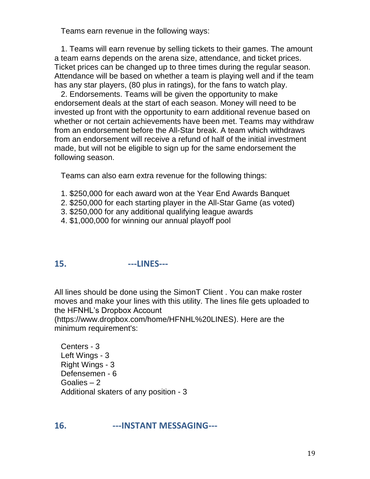Teams earn revenue in the following ways:

 1. Teams will earn revenue by selling tickets to their games. The amount a team earns depends on the arena size, attendance, and ticket prices. Ticket prices can be changed up to three times during the regular season. Attendance will be based on whether a team is playing well and if the team has any star players, (80 plus in ratings), for the fans to watch play.

 2. Endorsements. Teams will be given the opportunity to make endorsement deals at the start of each season. Money will need to be invested up front with the opportunity to earn additional revenue based on whether or not certain achievements have been met. Teams may withdraw from an endorsement before the All-Star break. A team which withdraws from an endorsement will receive a refund of half of the initial investment made, but will not be eligible to sign up for the same endorsement the following season.

Teams can also earn extra revenue for the following things:

- 1. \$250,000 for each award won at the Year End Awards Banquet
- 2. \$250,000 for each starting player in the All-Star Game (as voted)
- 3. \$250,000 for any additional qualifying league awards
- 4. \$1,000,000 for winning our annual playoff pool

#### **15. ---LINES---**

All lines should be done using the SimonT Client . You can make roster moves and make your lines with this utility. The lines file gets uploaded to the HFNHL's Dropbox Account

(https://www.dropbox.com/home/HFNHL%20LINES). Here are the minimum requirement's:

 Centers - 3 Left Wings - 3 Right Wings - 3 Defensemen - 6 Goalies – 2 Additional skaters of any position - 3

#### **16. ---INSTANT MESSAGING---**